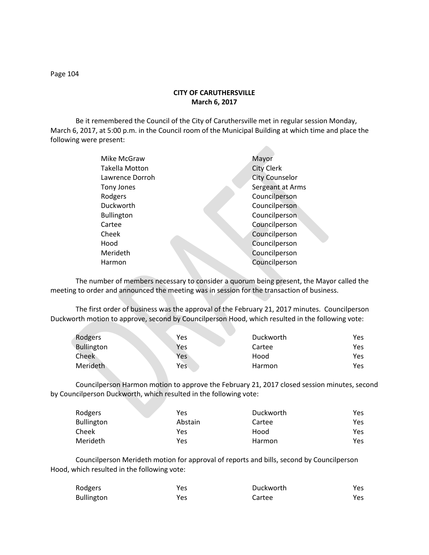**CITY OF CARUTHERSVILLE March 6, 2017**

Be it remembered the Council of the City of Caruthersville met in regular session Monday, March 6, 2017, at 5:00 p.m. in the Council room of the Municipal Building at which time and place the following were present:

**Contract** 

| Mike McGraw           | Mayor                 |
|-----------------------|-----------------------|
| <b>Takella Motton</b> | <b>City Clerk</b>     |
| Lawrence Dorroh       | <b>City Counselor</b> |
| Tony Jones            | Sergeant at Arms      |
| Rodgers               | Councilperson         |
| Duckworth             | Councilperson         |
| <b>Bullington</b>     | Councilperson         |
| Cartee                | Councilperson         |
| Cheek                 | Councilperson         |
| Hood                  | Councilperson         |
| Merideth              | Councilperson         |
| Harmon                | Councilperson         |
|                       |                       |

The number of members necessary to consider a quorum being present, the Mayor called the meeting to order and announced the meeting was in session for the transaction of business.

The first order of business was the approval of the February 21, 2017 minutes. Councilperson Duckworth motion to approve, second by Councilperson Hood, which resulted in the following vote:

| Rodgers    | Yes | Duckworth | Yes |
|------------|-----|-----------|-----|
| Bullington | Yes | Cartee    | Yes |
| Cheek      | Yes | Hood      | Yes |
| Merideth   | Yes | Harmon    | Yes |

Councilperson Harmon motion to approve the February 21, 2017 closed session minutes, second by Councilperson Duckworth, which resulted in the following vote:

| Rodgers           | Yes     | Duckworth | Yes. |
|-------------------|---------|-----------|------|
| <b>Bullington</b> | Abstain | Cartee    | Yes. |
| Cheek             | Yes     | Hood      | Yes. |
| Merideth          | Yes     | Harmon    | Yes. |

Councilperson Merideth motion for approval of reports and bills, second by Councilperson Hood, which resulted in the following vote:

| Rodgers    | Yes | Duckworth | Yes. |
|------------|-----|-----------|------|
| Bullington | Yes | Cartee    | Yes. |

Page 104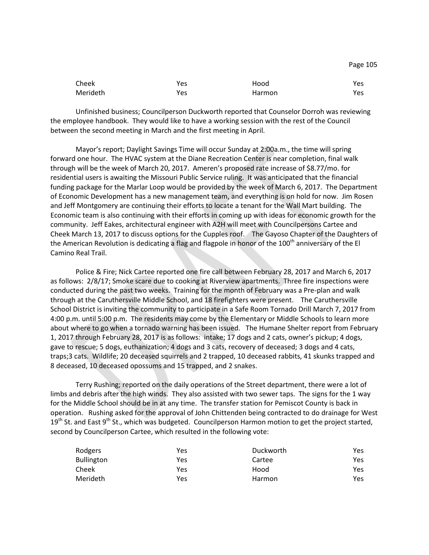| Cheek    | Yes | Hood   | Yes  |
|----------|-----|--------|------|
| Merideth | Yes | Harmon | Yes. |

Unfinished business; Councilperson Duckworth reported that Counselor Dorroh was reviewing the employee handbook. They would like to have a working session with the rest of the Council between the second meeting in March and the first meeting in April.

Mayor's report; Daylight Savings Time will occur Sunday at 2:00a.m., the time will spring forward one hour. The HVAC system at the Diane Recreation Center is near completion, final walk through will be the week of March 20, 2017. Ameren's proposed rate increase of \$8.77/mo. for residential users is awaiting the Missouri Public Service ruling. It was anticipated that the financial funding package for the Marlar Loop would be provided by the week of March 6, 2017. The Department of Economic Development has a new management team, and everything is on hold for now. Jim Rosen and Jeff Montgomery are continuing their efforts to locate a tenant for the Wall Mart building. The Economic team is also continuing with their efforts in coming up with ideas for economic growth for the community. Jeff Eakes, architectural engineer with A2H will meet with Councilpersons Cartee and Cheek March 13, 2017 to discuss options for the Cupples roof. The Gayoso Chapter of the Daughters of the American Revolution is dedicating a flag and flagpole in honor of the 100<sup>th</sup> anniversary of the El Camino Real Trail.

Police & Fire; Nick Cartee reported one fire call between February 28, 2017 and March 6, 2017 as follows: 2/8/17; Smoke scare due to cooking at Riverview apartments. Three fire inspections were conducted during the past two weeks. Training for the month of February was a Pre-plan and walk through at the Caruthersville Middle School, and 18 firefighters were present. The Caruthersville School District is inviting the community to participate in a Safe Room Tornado Drill March 7, 2017 from 4:00 p.m. until 5:00 p.m. The residents may come by the Elementary or Middle Schools to learn more about where to go when a tornado warning has been issued. The Humane Shelter report from February 1, 2017 through February 28, 2017 is as follows: intake; 17 dogs and 2 cats, owner's pickup; 4 dogs, gave to rescue; 5 dogs, euthanization; 4 dogs and 3 cats, recovery of deceased; 3 dogs and 4 cats, traps;3 cats. Wildlife; 20 deceased squirrels and 2 trapped, 10 deceased rabbits, 41 skunks trapped and 8 deceased, 10 deceased opossums and 15 trapped, and 2 snakes.

Terry Rushing; reported on the daily operations of the Street department, there were a lot of limbs and debris after the high winds. They also assisted with two sewer taps. The signs for the 1 way for the Middle School should be in at any time. The transfer station for Pemiscot County is back in operation. Rushing asked for the approval of John Chittenden being contracted to do drainage for West  $19<sup>th</sup>$  St. and East  $9<sup>th</sup>$  St., which was budgeted. Councilperson Harmon motion to get the project started, second by Councilperson Cartee, which resulted in the following vote:

| Rodgers    | Yes | Duckworth | Yes |
|------------|-----|-----------|-----|
| Bullington | Yes | Cartee    | Yes |
| Cheek      | Yes | Hood      | Yes |
| Merideth   | Yes | Harmon    | Yes |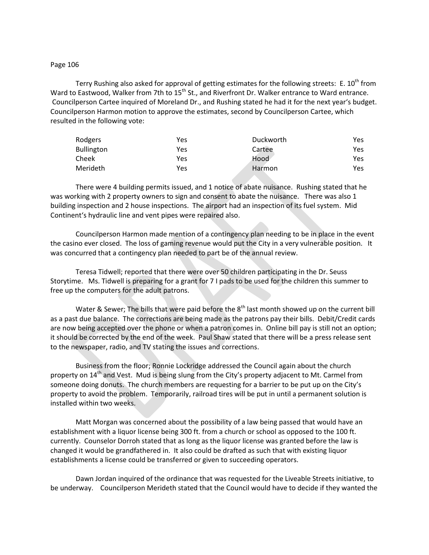#### Page 106

Terry Rushing also asked for approval of getting estimates for the following streets: E.  $10^{th}$  from Ward to Eastwood, Walker from 7th to 15<sup>th</sup> St., and Riverfront Dr. Walker entrance to Ward entrance. Councilperson Cartee inquired of Moreland Dr., and Rushing stated he had it for the next year's budget. Councilperson Harmon motion to approve the estimates, second by Councilperson Cartee, which resulted in the following vote:

| Rodgers           | Yes | Duckworth | Yes |
|-------------------|-----|-----------|-----|
| <b>Bullington</b> | Yes | Cartee    | Yes |
| Cheek             | Yes | Hood      | Yes |
| Merideth          | Yes | Harmon    | Yes |

There were 4 building permits issued, and 1 notice of abate nuisance. Rushing stated that he was working with 2 property owners to sign and consent to abate the nuisance. There was also 1 building inspection and 2 house inspections. The airport had an inspection of its fuel system. Mid Continent's hydraulic line and vent pipes were repaired also.

Councilperson Harmon made mention of a contingency plan needing to be in place in the event the casino ever closed. The loss of gaming revenue would put the City in a very vulnerable position. It was concurred that a contingency plan needed to part be of the annual review.

Teresa Tidwell; reported that there were over 50 children participating in the Dr. Seuss Storytime. Ms. Tidwell is preparing for a grant for 7 I pads to be used for the children this summer to free up the computers for the adult patrons.

Water & Sewer; The bills that were paid before the 8<sup>th</sup> last month showed up on the current bill as a past due balance. The corrections are being made as the patrons pay their bills. Debit/Credit cards are now being accepted over the phone or when a patron comes in. Online bill pay is still not an option; it should be corrected by the end of the week. Paul Shaw stated that there will be a press release sent to the newspaper, radio, and TV stating the issues and corrections.

Business from the floor; Ronnie Lockridge addressed the Council again about the church property on 14<sup>th</sup> and Vest. Mud is being slung from the City's property adjacent to Mt. Carmel from someone doing donuts. The church members are requesting for a barrier to be put up on the City's property to avoid the problem. Temporarily, railroad tires will be put in until a permanent solution is installed within two weeks.

Matt Morgan was concerned about the possibility of a law being passed that would have an establishment with a liquor license being 300 ft. from a church or school as opposed to the 100 ft. currently. Counselor Dorroh stated that as long as the liquor license was granted before the law is changed it would be grandfathered in. It also could be drafted as such that with existing liquor establishments a license could be transferred or given to succeeding operators.

Dawn Jordan inquired of the ordinance that was requested for the Liveable Streets initiative, to be underway. Councilperson Merideth stated that the Council would have to decide if they wanted the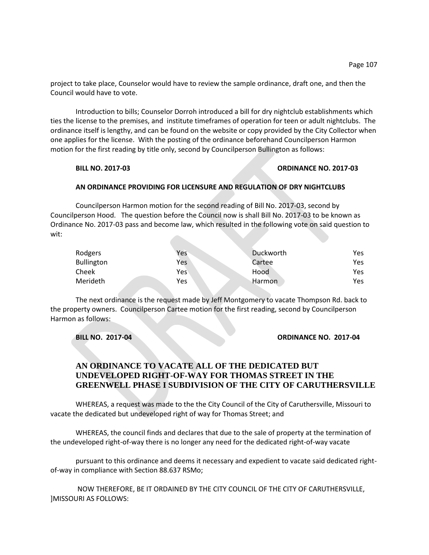project to take place, Counselor would have to review the sample ordinance, draft one, and then the Council would have to vote.

Introduction to bills; Counselor Dorroh introduced a bill for dry nightclub establishments which ties the license to the premises, and institute timeframes of operation for teen or adult nightclubs. The ordinance itself is lengthy, and can be found on the website or copy provided by the City Collector when one applies for the license. With the posting of the ordinance beforehand Councilperson Harmon motion for the first reading by title only, second by Councilperson Bullington as follows:

### **BILL NO. 2017-03 ORDINANCE NO. 2017-03**

## **AN ORDINANCE PROVIDING FOR LICENSURE AND REGULATION OF DRY NIGHTCLUBS**

Councilperson Harmon motion for the second reading of Bill No. 2017-03, second by Councilperson Hood. The question before the Council now is shall Bill No. 2017-03 to be known as Ordinance No. 2017-03 pass and become law, which resulted in the following vote on said question to wit:

| Rodgers           | Yes | <b>Duckworth</b> | Yes |
|-------------------|-----|------------------|-----|
| <b>Bullington</b> | Yes | Cartee           | Yes |
| Cheek             | Yes | Hood             | Yes |
| Merideth          | Yes | Harmon           | Yes |

The next ordinance is the request made by Jeff Montgomery to vacate Thompson Rd. back to the property owners. Councilperson Cartee motion for the first reading, second by Councilperson Harmon as follows:

### **BILL NO. 2017-04 ORDINANCE NO. 2017-04**

# **AN ORDINANCE TO VACATE ALL OF THE DEDICATED BUT UNDEVELOPED RIGHT-OF-WAY FOR THOMAS STREET IN THE GREENWELL PHASE I SUBDIVISION OF THE CITY OF CARUTHERSVILLE**

WHEREAS, a request was made to the the City Council of the City of Caruthersville, Missouri to vacate the dedicated but undeveloped right of way for Thomas Street; and

WHEREAS, the council finds and declares that due to the sale of property at the termination of the undeveloped right-of-way there is no longer any need for the dedicated right-of-way vacate

pursuant to this ordinance and deems it necessary and expedient to vacate said dedicated rightof-way in compliance with Section 88.637 RSMo;

NOW THEREFORE, BE IT ORDAINED BY THE CITY COUNCIL OF THE CITY OF CARUTHERSVILLE, ]MISSOURI AS FOLLOWS: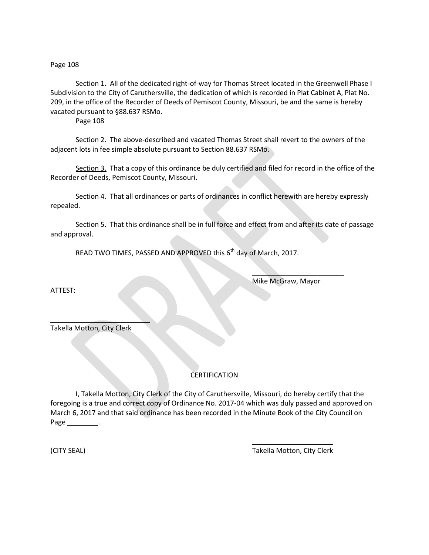Page 108

Section 1. All of the dedicated right-of-way for Thomas Street located in the Greenwell Phase I Subdivision to the City of Caruthersville, the dedication of which is recorded in Plat Cabinet A, Plat No. 209, in the office of the Recorder of Deeds of Pemiscot County, Missouri, be and the same is hereby vacated pursuant to §88.637 RSMo.

Page 108

Section 2. The above-described and vacated Thomas Street shall revert to the owners of the adjacent lots in fee simple absolute pursuant to Section 88.637 RSMo.

Section 3. That a copy of this ordinance be duly certified and filed for record in the office of the Recorder of Deeds, Pemiscot County, Missouri.

Section 4. That all ordinances or parts of ordinances in conflict herewith are hereby expressly repealed.

Section 5. That this ordinance shall be in full force and effect from and after its date of passage and approval.

READ TWO TIMES, PASSED AND APPROVED this 6<sup>th</sup> day of March, 2017.

Mike McGraw, Mayor

 $\overline{\phantom{a}}$  , where  $\overline{\phantom{a}}$ 

ATTEST:

Takella Motton, City Clerk

 $\overline{\phantom{a}}$  , where  $\overline{\phantom{a}}$ 

## **CERTIFICATION**

I, Takella Motton, City Clerk of the City of Caruthersville, Missouri, do hereby certify that the foregoing is a true and correct copy of Ordinance No. 2017-04 which was duly passed and approved on March 6, 2017 and that said ordinance has been recorded in the Minute Book of the City Council on Page \_\_\_\_\_\_\_\_.

\_\_\_\_\_\_\_\_\_\_\_\_\_\_\_\_\_\_\_\_\_ (CITY SEAL) Takella Motton, City Clerk